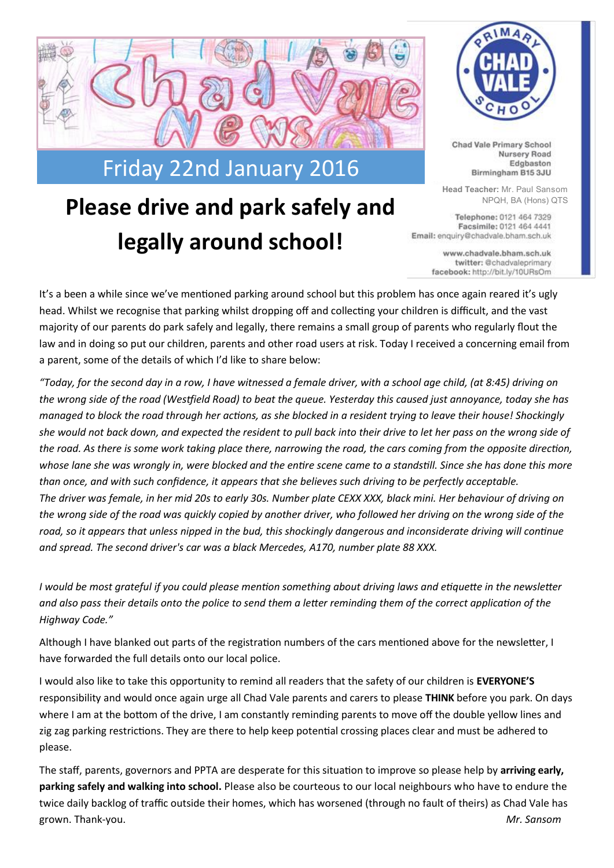

## **Please drive and park safely and Separate Algons** A NPQH, BA (Hons) QTS **legally around school!**



Chad Vale Primary School Nursery Road Edgbaston Birmingham B15 3JU

**Head Teacher:** Mr. Paul Sansom

Facsimile: 0121 464 4441 Email: enquiry@chadvale.bham.sch.uk

> www.chadvale.bham.sch.uk twitter: @chadvaleprimary facebook: http://bit.ly/10URsOm

It's a been a while since we've mentioned parking around school but this problem has once again reared it's ugly head. Whilst we recognise that parking whilst dropping off and collecting your children is difficult, and the vast majority of our parents do park safely and legally, there remains a small group of parents who regularly flout the law and in doing so put our children, parents and other road users at risk. Today I received a concerning email from a parent, some of the details of which I'd like to share below:

*"Today, for the second day in a row, I have witnessed a female driver, with a school age child, (at 8:45) driving on the wrong side of the road (Westfield Road) to beat the queue. Yesterday this caused just annoyance, today she has managed to block the road through her actions, as she blocked in a resident trying to leave their house! Shockingly she would not back down, and expected the resident to pull back into their drive to let her pass on the wrong side of the road. As there is some work taking place there, narrowing the road, the cars coming from the opposite direction, whose lane she was wrongly in, were blocked and the entire scene came to a standstill. Since she has done this more than once, and with such confidence, it appears that she believes such driving to be perfectly acceptable. The driver was female, in her mid 20s to early 30s. Number plate CEXX XXX, black mini. Her behaviour of driving on the wrong side of the road was quickly copied by another driver, who followed her driving on the wrong side of the*  road, so it appears that unless nipped in the bud, this shockingly dangerous and inconsiderate driving will continue *and spread. The second driver's car was a black Mercedes, A170, number plate 88 XXX.* 

*I would be most grateful if you could please mention something about driving laws and etiquette in the newsletter and also pass their details onto the police to send them a letter reminding them of the correct application of the Highway Code."*

Although I have blanked out parts of the registration numbers of the cars mentioned above for the newsletter, I have forwarded the full details onto our local police.

I would also like to take this opportunity to remind all readers that the safety of our children is **EVERYONE'S** responsibility and would once again urge all Chad Vale parents and carers to please **THINK** before you park. On days where I am at the bottom of the drive, I am constantly reminding parents to move off the double yellow lines and zig zag parking restrictions. They are there to help keep potential crossing places clear and must be adhered to please.

The staff, parents, governors and PPTA are desperate for this situation to improve so please help by **arriving early, parking safely and walking into school.** Please also be courteous to our local neighbours who have to endure the twice daily backlog of traffic outside their homes, which has worsened (through no fault of theirs) as Chad Vale has grown. Thank-you. *Mr. Sansom*